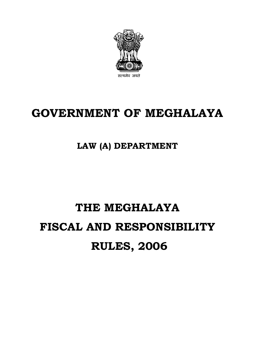

# **GOVERNMENT OF MEGHALAYA**

# **LAW (A) DEPARTMENT**

# **THE MEGHALAYA FISCAL AND RESPONSIBILITY RULES, 2006**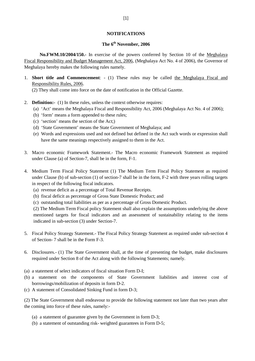#### **NOTIFICATIONS**

# **The 6th November, 2006**

**No.FWM.10/2004/150.-** In exercise of the powers conferred by Section 10 of the Meghalaya Fiscal Responsibility and Budget Management Act, 2006, (Meghalaya Act No. 4 of 2006), the Governor of Meghalaya hereby makes the following rules namely.

1. **Short title and Commencement**: - (1) These rules may be called the Meghalaya Fiscal and Responsibility Rules, 2006.

(2) They shall come into force on the date of notification in the Official Gazette.

- 2. **Definition:-** (1) In these rules, unless the context otherwise requires:
	- (a) 'Act' means the Meghalaya Fiscal and Responsibility Act, 2006 (Meghalaya Act No. 4 of 2006);
	- (b) 'form' means a form appended to these rules;
	- (c) 'section' means the section of the Act;)
	- (d) 'State Government' means the State Government of Meghalaya; and
	- (e) Words and expressions used and not defined but defined in the Act such words or expression shall have the same meanings respectively assigned to them in the Act.
- 3. Macro economic Framework Statement.- The Macro economic Framework Statement as required under Clause (a) of Section-7, shall be in the form, F-1.
- 4. Medium Term Fiscal Policy Statement (1) The Medium Term Fiscal Policy Statement as required under Clause (b) of sub-section (1) of section-7 shall be in the form, F-2 with three years rolling targets in respect of the following fiscal indicators.
	- (a) revenue deficit as a percentage of Total Revenue Receipts.
	- (b) fiscal deficit as percentage of Gross State Domestic Product; and
	- (c) outstanding total liabilities as per as a percentage of Gross Domestic Product.

(2) The Medium Term Fiscal policy Statement shall also explain the assumptions underlying the above mentioned targets for fiscal indicators and an assessment of sustainability relating to the items indicated in sub-section (3) under Section-7.

- 5. Fiscal Policy Strategy Statement.- The Fiscal Policy Strategy Statement as required under sub-section 4 of Section- 7 shall be in the Form F-3.
- 6. Disclosures.- (1) The State Government shall, at the time of presenting the budget, make disclosures required under Section 8 of the Act along with the following Statements; namely.
- (a) a statement of select indicators of fiscal situation Form D-I;
- (b) a statement on the components of State Government liabilities and interest cost of borrowings/mobilization of deposits in form D-2.
- (c) A statement of Consolidated Sinking Fund in form D-3;

(2) The State Government shall endeavour to provide the following statement not later than two years after the coming into force of these rules, namely:-

- (a) a statement of guarantee given by the Government in form D-3;
- (b) a statement of outstanding risk- weighted guarantees in Form D-5;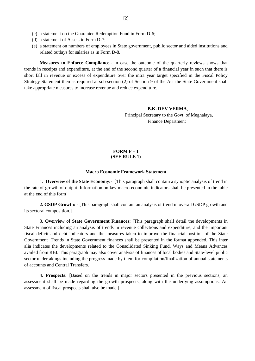- (c) a statement on the Guarantee Redemption Fund in Form D-6;
- (d) a statement of Assets in Form D-7;
- (e) a statement on numbers of employees in State government, public sector and aided institutions and related outlays for salaries as in Form D-8.

**Measures to Enforce Compliance.**- In case the outcome of the quarterly reviews shows that trends in receipts and expenditure, at the end of the second quarter of a financial year in such that there is short fall in revenue or excess of expenditure over the intra year target specified in the Fiscal Policy Strategy Statement then as required at sub-section (2) of Section 9 of the Act the State Government shall take appropriate measures to increase revenue and reduce expenditure.

#### **B.K. DEV VERMA**,

 Principal Secretary to the Govt. of Meghalaya, Finance Department

#### **FORM F – 1 (SEE RULE 1)**

#### **Macro Economic Framework Statement**

1. **Overview of the State Economy:-** [This paragraph shall contain a synoptic analysis of trend in the rate of growth of output. Information on key macro-economic indicators shall be presented in the table at the end of this form]

**2. GSDP Growth: -** [This paragraph shall contain an analysis of trend in overall GSDP growth and its sectoral composition.]

3. **Overview of State Government Finances:** [This paragraph shall detail the developments in State Finances including an analysis of trends in revenue collections and expenditure, and the important fiscal deficit and debt indicators and the measures taken to improve the financial position of the State Government .Trends in State Government finances shall be presented in the format appended. This inter alia indicates the developments related to the Consolidated Sinking Fund, Ways and Means Advances availed from RBI. This paragraph may also cover analysis of finances of local bodies and State-level public sector undertakings including the progress made by them for compilation/finalization of annual statements of accounts and Central Transfers.]

4. **Prospects: [**Based on the trends in major sectors presented in the previous sections, an assessment shall be made regarding the growth prospects, along with the underlying assumptions. An assessment of fiscal prospects shall also be made.]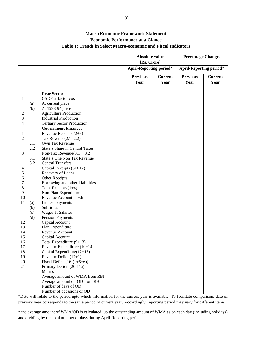# **Macro Economic Framework Statement Economic Performance at a Glance Table 1: Trends in Select Macro-economic and Fiscal Indicators**

|                |     |                                   | Absolute value<br>[Rs. Crore]  |                | <b>Percentage Changes</b>      |                |  |  |
|----------------|-----|-----------------------------------|--------------------------------|----------------|--------------------------------|----------------|--|--|
|                |     |                                   | <b>April-Reporting period*</b> |                | <b>April-Reporting period*</b> |                |  |  |
|                |     |                                   | <b>Previous</b>                | <b>Current</b> | <b>Previous</b>                | <b>Current</b> |  |  |
|                |     |                                   | Year                           | Year           | Year                           | Year           |  |  |
|                |     |                                   |                                |                |                                |                |  |  |
|                |     | <b>Rear Sector</b>                |                                |                |                                |                |  |  |
| 1              |     | GSDP at factor cost               |                                |                |                                |                |  |  |
|                | (a) | At current place                  |                                |                |                                |                |  |  |
|                | (b) | At 1993-94 price                  |                                |                |                                |                |  |  |
| 2              |     | <b>Agriculture Production</b>     |                                |                |                                |                |  |  |
| 3              |     | <b>Industrial Production</b>      |                                |                |                                |                |  |  |
| 4              |     | <b>Tertiary Sector Production</b> |                                |                |                                |                |  |  |
|                |     | <b>Government Finances</b>        |                                |                |                                |                |  |  |
| 1              |     | Revenue Receipts $(2+3)$          |                                |                |                                |                |  |  |
| $\mathfrak{2}$ |     | Tax Revenue $(2.1=2.2)$           |                                |                |                                |                |  |  |
|                | 2.1 | Own Tax Revenue                   |                                |                |                                |                |  |  |
|                | 2.2 | State's Share in Central Taxes    |                                |                |                                |                |  |  |
| 3              |     | Non-Tax Revenue $(3.1 + 3.2)$     |                                |                |                                |                |  |  |
|                | 3.1 | State's One Non Tax Revenue       |                                |                |                                |                |  |  |
|                | 3.2 | <b>Central Transfers</b>          |                                |                |                                |                |  |  |
| 4              |     | Capital Receipts (5+6+7)          |                                |                |                                |                |  |  |
| 5              |     | Recovery of Loans                 |                                |                |                                |                |  |  |
| 6              |     | Other Receipts                    |                                |                |                                |                |  |  |
| 7              |     | Borrowing and other Liabilities   |                                |                |                                |                |  |  |
| 8              |     | Total Receipts $(1+4)$            |                                |                |                                |                |  |  |
| 9              |     | Non-Plan Expenditure              |                                |                |                                |                |  |  |
| 10             |     | Revenue Account of which:         |                                |                |                                |                |  |  |
| 11             | (a) | Interest payments                 |                                |                |                                |                |  |  |
|                | (b) | Subsidies                         |                                |                |                                |                |  |  |
|                | (c) | Wages & Salaries                  |                                |                |                                |                |  |  |
|                | (d) | <b>Pension Payments</b>           |                                |                |                                |                |  |  |
| 12             |     | Capital Account                   |                                |                |                                |                |  |  |
| 13             |     | Plan Expenditure                  |                                |                |                                |                |  |  |
| 14             |     | Revenue Account                   |                                |                |                                |                |  |  |
| 15             |     | Capital Account                   |                                |                |                                |                |  |  |
| 16             |     | Total Expenditure $(9+13)$        |                                |                |                                |                |  |  |
| 17             |     | Revenue Expenditure $(10+14)$     |                                |                |                                |                |  |  |
| 18             |     | Capital Expenditure $(12+15)$     |                                |                |                                |                |  |  |
| 19             |     | Revenue Deficit $(17+1)$          |                                |                |                                |                |  |  |
| 20             |     | Fiscal Deficit $\{16-(1+5+6)\}$   |                                |                |                                |                |  |  |
| 21             |     | Primary Deficit (20-11a)          |                                |                |                                |                |  |  |
|                |     | Memo:                             |                                |                |                                |                |  |  |
|                |     | Average amount of WMA from RBI    |                                |                |                                |                |  |  |
|                |     | Average amount of OD from RBI     |                                |                |                                |                |  |  |
|                |     | Number of days of OD              |                                |                |                                |                |  |  |
|                |     | Number of occasions of OD         |                                |                |                                |                |  |  |

\*Date will relate to the period upto which information for the current year is available. To facilitate comparison, date of previous year corresponds to the same period of current year. Accordingly, reporting period may vary for different items.

\* the average amount of WMA/OD is calculated up the outstanding amount of WMA as on each day (including holidays) and dividing by the total number of days during April-Reporting period.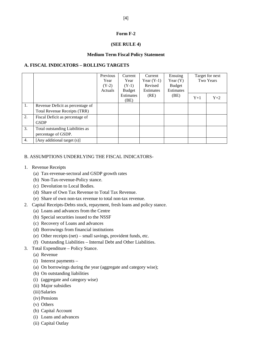#### **Form F-2**

#### **(SEE RULE 4)**

#### **Medium Term Fiscal Policy Statement**

#### **A. FISCAL INDICATORS – ROLLING TARGETS**

|                  |                                     | Previous<br>Year<br>$(Y-2)$<br>Actuals | Current<br>Year<br>$(Y-1)$<br>Budget | Current<br>Year $(Y-1)$<br>Revised<br><b>Estimates</b> | Ensuing<br>Year $(Y)$<br><b>Budget</b><br><b>Estimates</b> |       | Target for next<br>Two Years |
|------------------|-------------------------------------|----------------------------------------|--------------------------------------|--------------------------------------------------------|------------------------------------------------------------|-------|------------------------------|
|                  |                                     |                                        | Estimates<br>(BE)                    | (RE)                                                   | (BE)                                                       | $Y+1$ | $Y+2$                        |
| 1.               | Revenue Deficit as percentage of    |                                        |                                      |                                                        |                                                            |       |                              |
|                  | <b>Total Revenue Receipts (TRR)</b> |                                        |                                      |                                                        |                                                            |       |                              |
| 2.               | Fiscal Deficit as percentage of     |                                        |                                      |                                                        |                                                            |       |                              |
|                  | <b>GSDP</b>                         |                                        |                                      |                                                        |                                                            |       |                              |
| 3.               | Total outstanding Liabilities as    |                                        |                                      |                                                        |                                                            |       |                              |
|                  | percentage of GSDP.                 |                                        |                                      |                                                        |                                                            |       |                              |
| $\overline{4}$ . | [Any additional target (s)]         |                                        |                                      |                                                        |                                                            |       |                              |

#### B. ASSUMPTIONS UNDERLYING THE FISCAL INDICATORS-

- 1. Revenue Receipts
	- (a) Tax-revenue-sectoral and GSDP growth rates
	- (b) Non-Tax-revenue-Policy stance.
	- (c) Devolution to Local Bodies.
	- (d) Share of Own Tax Revenue to Total Tax Revenue.
	- (e) Share of own non-tax revenue to total non-tax revenue.
- 2. Capital Receipts-Debts stock, repayment, fresh loans and policy stance.
	- (a) Loans and advances from the Centre
	- (b) Special securities issued to the NSSF
	- (c) Recovery of Loans and advances
	- (d) Borrowings from financial institutions
	- (e) Other receipts (net) small savings, provident funds, etc.
	- (f) Outstanding Liabilities Internal Debt and Other Liabilities.
- 3. Total Expenditure Policy Stance.
	- (a) Revenue
	- (i) Interest payments –
	- (a) On borrowings during the year (aggregate and category wise);
	- (b) On outstanding liabilities
	- (i) (aggregate and category wise)
	- (ii) Major subsidies
	- (iii) Salaries
	- (iv) Pensions
	- (v) Others
	- (b) Capital Account
	- (i) Loans and advances
	- (ii) Capital Outlay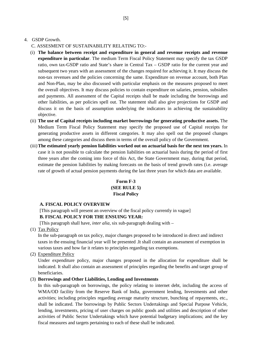#### 4. GSDP Growth.

- C. ASSESMENT OF SUSTAINABILITY RELATING TO:-
- (i) **The balance between receipt and expenditure in general and revenue receipts and revenue expenditure in particular**. The medium Term Fiscal Policy Statement may specify the tax GSDP ratio, own tax-GSDP ratio and State's share in Central Tax – GSDP ratio for the current year and subsequent two years with an assessment of the changes required for achieving it. It may discuss the non-tax revenues and the policies concerning the same. Expenditure on revenue account, both Plan and Non-Plan, may be also discussed with particular emphasis on the measures proposed to meet the overall objectives. It may discuss policies to contain expenditure on salaries, pension, subsidies and payments. All assessment of the Capital receipts shall be made including the borrowings and other liabilities, as per policies spell out. The statement shall also give projections for GSDP and discuss it on the basis of assumption underlying the indicators in achieving the sustainability objective.
- (ii) **The use of Capital receipts including market borrowings for generating productive assets.** The Medium Term Fiscal Policy Statement may specify the proposed use of Capital receipts for generating productive assets in different categories. It may also spell out the proposed changes among these categories and discuss them in terms of the overall policy of the Government.
- (iii)**The estimated yearly pension liabilities worked out on actuarial basis for the next ten years.** In case it is not possible to calculate the pension liabilities on actuarial basis during the period of first three years after the coming into force of this Act, the State Government may, during that period, estimate the pension liabilities by making forecasts on the basis of trend growth rates (i.e. average rate of growth of actual pension payments during the last three years for which data are available.

# **Form F-3 (SEE RULE 5) Fiscal Policy**

#### **A. FISCAL POLICY OVERVIEW**

[This paragraph will present an overview of the fiscal policy currently in vague]

#### **B. FISCAL POLICY FOR THE ENSUING YEAR:**

[This paragraph shall have, *inter alia,* six sub-paragraph dealing with *–*

(1) Tax Policy

In the sub-paragraph on tax policy, major changes proposed to be introduced in direct and indirect taxes in the ensuing financial year will be presented .It shall contain an assessment of exemption in various taxes and how far it relates to principles regarding tax exemptions.

(2) Expenditure Policy

Under expenditure policy, major changes proposed in the allocation for expenditure shall be indicated. It shall also contain an assessment of principles regarding the benefits and target group of beneficiaries.

#### (3) **Borrowings and Other Liabilities, Lending and Investments**

In this sub-paragraph on borrowings, the policy relating to internet debt, including the access of WMA/OD facility from the Reserve Bank of India, government lending, Investments and other activities; including principles regarding average maturity structure, bunching of repayments, etc., shall be indicated. The borrowings by Public Sectors Undertakings and Special Purpose Vehicle, lending, investments, pricing of user charges on public goods and utilities and description of other activities of Public Sector Undertakings which have potential budgetary implications; and the key fiscal measures and targets pertaining to each of these shall be indicated.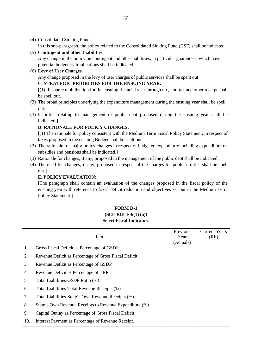(4) Consolidated Sinking Fund

In this sub-paragraph, the policy related to the Consolidated Sinking Fund (CSF) shall be indicated.

(5) **Contingent and other Liabilities**

Any change in the policy on contingent and other liabilities, in particular guarantees, which have potential budgetary implications shall be indicated.

(6) **Levy of User Charges**

Any change proposed in the levy of user charges of public services shall be spent out

# **C. STRATEGIC PRIORITIES FOR THE ENSUING YEAR.**

[(1) Resource mobilization for the ensuing financial year through tax, non-tax and other receipt shall be spell out.

- (2) The broad principles underlying the expenditure management during the ensuing year shall be spell out.
- (3) Priorities relating to management of public debt proposed during the ensuing year shall be indicated.]

# **D. RATIONALE FOR POLICY CHANGES:**

[(1) The rationale for policy consistent with the Medium Term Fiscal Policy Statement, in respect of taxes proposed in the ensuing Budget shall be spelt out.

- (2) The rationale for major policy changes in respect of budgeted expenditure including expenditure on subsidies and pensions shall be indicated.]
- (3) Rationale for changes, if any, proposed in the management of the public debt shall be indicated.
- (4) The need for changes, if any, proposed in respect of the charges for public utilities shall be spell out.]

# **E. POLICY EVALUATION:**

[The paragraph shall contain an evaluation of the changes proposed in the fiscal policy of the ensuing year with reference to fiscal deficit reduction and objectives set out in the Medium Term Policy Statement.]

## **FORM D-1 (SEE RULE-6(1) (a)) Select Fiscal Indicators**

|     | Item                                                    | Previous<br>Year<br>(Actuals) | <b>Current Years</b><br>(RE) |
|-----|---------------------------------------------------------|-------------------------------|------------------------------|
| 1.  | Gross Fiscal Deficit as Percentage of GSDP              |                               |                              |
| 2.  | Revenue Deficit as Percentage of Gross Fiscal Deficit   |                               |                              |
| 3.  | Revenue Deficit as Percentage of GSDP                   |                               |                              |
| 4.  | Revenue Deficit as Percentage of TRR                    |                               |                              |
| 5.  | Total Liabilities-GSDP Ratio (%)                        |                               |                              |
| 6.  | Total Liabilities-Total Revenue Receipts (%)            |                               |                              |
| 7.  | Total Liabilities-State's Own Revenue Receipts (%)      |                               |                              |
| 8.  | State's Own Revenue Receipts to Revenue Expenditure (%) |                               |                              |
| 9.  | Capital Outlay as Percentage of Gross Fiscal Deficit.   |                               |                              |
| 10. | Interest Payment as Percentage of Revenue Receipt.      |                               |                              |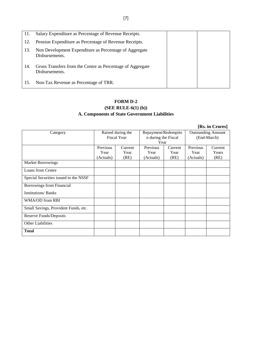| 11. | Salary Expenditure as Percentage of Revenue Receipts.                        |  |
|-----|------------------------------------------------------------------------------|--|
| 12. | Pension Expenditure as Percentage of Revenue Receipts.                       |  |
| 13. | Non Development Expenditure as Percentage of Aggregate<br>Disbursements.     |  |
| 14. | Gross Transfers from the Centre as Percentage of Aggregate<br>Disbursements. |  |
| 15. | Non-Tax Revenue as Percentage of TRR.                                        |  |

# **FORM D-2 (SEE RULE-6(1) (b)) A. Components of State Government Liabilities**

|                                       |           |                    |                     |         |                           | [Rs. in Crores] |
|---------------------------------------|-----------|--------------------|---------------------|---------|---------------------------|-----------------|
| Category                              |           | Raised during the  | Repayment/Redemptio |         | <b>Outstanding Amount</b> |                 |
|                                       |           | <b>Fiscal Year</b> | n during the Fiscal |         | (End-March)               |                 |
|                                       |           |                    | Year                |         |                           |                 |
|                                       | Previous  | Current            | Previous            | Current | Previous                  | Current         |
|                                       | Year      | Year               | Year                | Year    | Year                      | Years           |
|                                       | (Actuals) | (RE)               | (Actuals)           | (RE)    | (Actuals)                 | (RE)            |
| <b>Market Borrowings</b>              |           |                    |                     |         |                           |                 |
| Loans from Centre                     |           |                    |                     |         |                           |                 |
| Special Securities issued to the NSSF |           |                    |                     |         |                           |                 |
| Borrowings from Financial             |           |                    |                     |         |                           |                 |
| <b>Institutions/ Banks</b>            |           |                    |                     |         |                           |                 |
| WMA/OD from RBI                       |           |                    |                     |         |                           |                 |
| Small Savings, Provident Funds, etc.  |           |                    |                     |         |                           |                 |
| Reserve Funds/Deposits                |           |                    |                     |         |                           |                 |
| <b>Other Liabilities</b>              |           |                    |                     |         |                           |                 |
| <b>Total</b>                          |           |                    |                     |         |                           |                 |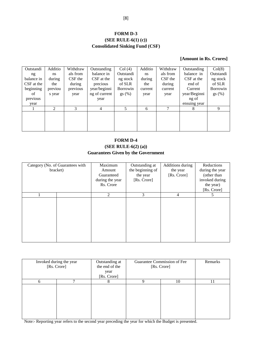# **FORM D-3 (SEE RULE-6(1) (c)) Consolidated Sinking Fund (CSF)**

## **[Amount in Rs. Crores]**

| Outstandi  | Additio | Withdraw | Outstanding   | Col(4)          | Additio | Withdraw | Outstanding  | Col(8)          |
|------------|---------|----------|---------------|-----------------|---------|----------|--------------|-----------------|
| ng         | ns      | als from | balance in    | Outstandi       | ns      | als from | balance in   | Outstandi       |
| balance in | during  | CSF the  | CSF at the    | ng stock        | during  | CSF the  | CSF at the   | ng stock        |
| CSF at the | the     | during   | precious      | of SLR          | the     | during   | end of       | of SLR          |
| beginning  | previou | previous | year/beginni  | <b>Borrowin</b> | current | current  | Current      | <b>Borrowin</b> |
| of         | s year  | year     | ng of current | gs(%)           | year    | year     | year/Beginni | gs(%)           |
| previous   |         |          | year          |                 |         |          | ng of        |                 |
| year       |         |          |               |                 |         |          | ensuing year |                 |
|            | 2       | 3        | 4             | 5               | 6       | 7        | 8            | 9               |
|            |         |          |               |                 |         |          |              |                 |
|            |         |          |               |                 |         |          |              |                 |
|            |         |          |               |                 |         |          |              |                 |
|            |         |          |               |                 |         |          |              |                 |

# **FORM D-4 (SEE RULE-6(2) (a)) Guarantees Given by the Government**

| Category (No. of Guarantees with<br>bracket) |  | Maximum<br>Amount<br>Guaranteed<br>during the year<br>Rs. Crore | Outstanding at<br>the beginning of<br>the year<br>[Rs. Crore] | Additions during<br>the year<br>[Rs. Crore] | Reductions<br>during the year<br>(other than<br>invoked during<br>the year)<br>[Rs. Crore] |
|----------------------------------------------|--|-----------------------------------------------------------------|---------------------------------------------------------------|---------------------------------------------|--------------------------------------------------------------------------------------------|
|                                              |  | 2                                                               | 3                                                             | 4                                           | 5                                                                                          |
|                                              |  |                                                                 |                                                               |                                             |                                                                                            |

|   | Invoked during the year<br>[Rs. Crore] | Outstanding at<br>the end of the<br>year<br>[Rs. Crore] |         | Guarantee Commission of Fee<br>[Rs. Crore] | Remarks |
|---|----------------------------------------|---------------------------------------------------------|---------|--------------------------------------------|---------|
| 6 | −                                      |                                                         | 10<br>Q |                                            | 11      |
|   |                                        |                                                         |         |                                            |         |

Note:- Reporting year refers to the second year preceding the year for which the Budget is presented.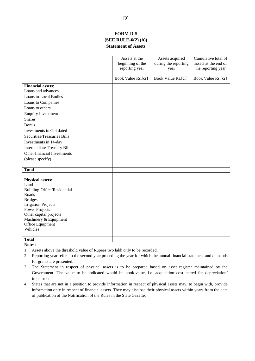## **FORM D-5 (SEE RULE-6(2) (b)) Statement of Assets**

|                                    | Assets at the<br>beginning of the<br>reporting year | Assets acquired<br>during the reporting<br>year | Cumulative total of<br>assets at the end of<br>the reporting year |
|------------------------------------|-----------------------------------------------------|-------------------------------------------------|-------------------------------------------------------------------|
|                                    |                                                     |                                                 |                                                                   |
|                                    | Book Value Rs.[cr]                                  | Book Value Rs.[cr]                              | Book Value Rs.[cr]                                                |
| <b>Financial assets:</b>           |                                                     |                                                 |                                                                   |
| Loans and advances                 |                                                     |                                                 |                                                                   |
| <b>Loans to Local Bodies</b>       |                                                     |                                                 |                                                                   |
| Loans to Companies                 |                                                     |                                                 |                                                                   |
| Loans to others                    |                                                     |                                                 |                                                                   |
| <b>Enquiry Investment</b>          |                                                     |                                                 |                                                                   |
| <b>Shares</b>                      |                                                     |                                                 |                                                                   |
| <b>Bonus</b>                       |                                                     |                                                 |                                                                   |
| Investments in Gol dated           |                                                     |                                                 |                                                                   |
| <b>Securities/Treasuries Bills</b> |                                                     |                                                 |                                                                   |
| Investments in 14-day              |                                                     |                                                 |                                                                   |
| <b>Intermediate Treasury Bills</b> |                                                     |                                                 |                                                                   |
| Other financial Investments        |                                                     |                                                 |                                                                   |
| (please specify)                   |                                                     |                                                 |                                                                   |
|                                    |                                                     |                                                 |                                                                   |
| <b>Total</b>                       |                                                     |                                                 |                                                                   |
|                                    |                                                     |                                                 |                                                                   |
| <b>Physical assets:</b><br>Land    |                                                     |                                                 |                                                                   |
| Building-Office/Residential        |                                                     |                                                 |                                                                   |
| Roads                              |                                                     |                                                 |                                                                   |
| <b>Bridges</b>                     |                                                     |                                                 |                                                                   |
| <b>Irrigation Projects</b>         |                                                     |                                                 |                                                                   |
| <b>Power Projects</b>              |                                                     |                                                 |                                                                   |
| Other capital projects             |                                                     |                                                 |                                                                   |
| Machinery & Equipment              |                                                     |                                                 |                                                                   |
| Office Equipment<br>Vehicles       |                                                     |                                                 |                                                                   |
|                                    |                                                     |                                                 |                                                                   |
| <b>Total</b>                       |                                                     |                                                 |                                                                   |

**Notes:**

- 1. Assets above the threshold value of Rupees two lakh only to be recorded.
- 2. Reporting year refers to the second year preceding the year for which the annual financial statement and demands for grants are presented.
- 3. The Statement in respect of physical assets is to be prepared based on asset register maintained by the Government. The value to be indicated would be book-value, i.e. acquisition cost netted for depreciation/ impairment.
- 4. States that are not in a position to provide information in respect of physical assets may, to begin with, provide information only in respect of financial assets. They may disclose their physical assets within years from the date of publication of the Notification of the Rules in the State Gazette.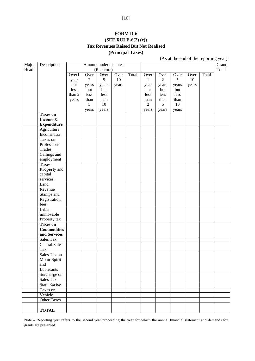# **FORM D-6 (SEE RULE-6(2) (c)) Tax Revenues Raised But Not Realised (Principal Taxes)**

(As at the end of the reporting year)

| Major | Description          |        |                | Amount under disputes |       |       |                |                |        |       |       | Grand |
|-------|----------------------|--------|----------------|-----------------------|-------|-------|----------------|----------------|--------|-------|-------|-------|
| Head  |                      |        |                | (Rs. crore)           |       |       |                |                |        |       |       | Total |
|       |                      | Over1  | Over           | Over                  | Over  | Total | Over           | Over           | Over   | Over  | Total |       |
|       |                      | year   | $\overline{2}$ | 5                     | 10    |       | $\mathbf{1}$   | $\overline{2}$ | 5      | 10    |       |       |
|       |                      | but    | years          | years                 | years |       | year           | years          | years  | years |       |       |
|       |                      | less   | but            | but                   |       |       | but            | but            | but    |       |       |       |
|       |                      | than 2 | less           | less                  |       |       | less           | less           | less   |       |       |       |
|       |                      | years  | than           | than                  |       |       | than           | than           | than   |       |       |       |
|       |                      |        | 5              | 10                    |       |       | $\overline{2}$ | 5              | $10\,$ |       |       |       |
|       |                      |        | years          | years                 |       |       | years          | years          | years  |       |       |       |
|       | <b>Taxes on</b>      |        |                |                       |       |       |                |                |        |       |       |       |
|       | Income &             |        |                |                       |       |       |                |                |        |       |       |       |
|       | <b>Expenditure</b>   |        |                |                       |       |       |                |                |        |       |       |       |
|       | Agriculture          |        |                |                       |       |       |                |                |        |       |       |       |
|       | Income Tax           |        |                |                       |       |       |                |                |        |       |       |       |
|       | Taxes on             |        |                |                       |       |       |                |                |        |       |       |       |
|       | Professions          |        |                |                       |       |       |                |                |        |       |       |       |
|       | Trades,              |        |                |                       |       |       |                |                |        |       |       |       |
|       | Callings and         |        |                |                       |       |       |                |                |        |       |       |       |
|       | employment           |        |                |                       |       |       |                |                |        |       |       |       |
|       | <b>Taxes</b>         |        |                |                       |       |       |                |                |        |       |       |       |
|       | <b>Property</b> and  |        |                |                       |       |       |                |                |        |       |       |       |
|       | capital              |        |                |                       |       |       |                |                |        |       |       |       |
|       | services.            |        |                |                       |       |       |                |                |        |       |       |       |
|       | Land                 |        |                |                       |       |       |                |                |        |       |       |       |
|       | Revenue              |        |                |                       |       |       |                |                |        |       |       |       |
|       | Stamps and           |        |                |                       |       |       |                |                |        |       |       |       |
|       | Registration         |        |                |                       |       |       |                |                |        |       |       |       |
|       | fees                 |        |                |                       |       |       |                |                |        |       |       |       |
|       | Urban                |        |                |                       |       |       |                |                |        |       |       |       |
|       | immovable            |        |                |                       |       |       |                |                |        |       |       |       |
|       | Property tax         |        |                |                       |       |       |                |                |        |       |       |       |
|       | <b>Taxes on</b>      |        |                |                       |       |       |                |                |        |       |       |       |
|       | <b>Commodities</b>   |        |                |                       |       |       |                |                |        |       |       |       |
|       | and Services         |        |                |                       |       |       |                |                |        |       |       |       |
|       | Sales Tax            |        |                |                       |       |       |                |                |        |       |       |       |
|       | <b>Central Sales</b> |        |                |                       |       |       |                |                |        |       |       |       |
|       | Tax                  |        |                |                       |       |       |                |                |        |       |       |       |
|       | Sales Tax on         |        |                |                       |       |       |                |                |        |       |       |       |
|       | Motor Spirit         |        |                |                       |       |       |                |                |        |       |       |       |
|       | and                  |        |                |                       |       |       |                |                |        |       |       |       |
|       | Lubricants           |        |                |                       |       |       |                |                |        |       |       |       |
|       | Surcharge on         |        |                |                       |       |       |                |                |        |       |       |       |
|       | Sales Tax            |        |                |                       |       |       |                |                |        |       |       |       |
|       | <b>State Excise</b>  |        |                |                       |       |       |                |                |        |       |       |       |
|       | Taxes on             |        |                |                       |       |       |                |                |        |       |       |       |
|       | Vehicle              |        |                |                       |       |       |                |                |        |       |       |       |
|       | <b>Other Taxes</b>   |        |                |                       |       |       |                |                |        |       |       |       |
|       |                      |        |                |                       |       |       |                |                |        |       |       |       |
|       | <b>TOTAL</b>         |        |                |                       |       |       |                |                |        |       |       |       |

Note – Reporting year refers to the second year proceeding the year for which the annual financial statement and demands for grants are presented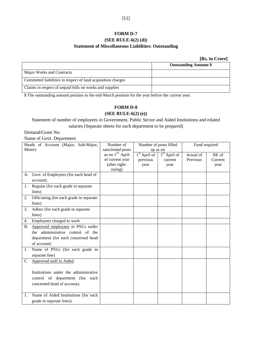# **FORM D-7**

# **(SEE RULE-6(2) (d)) Statement of Miscellaneous Liabilities: Outstanding**

### **[Rs. in Crore]**

|                                                              | <b>Outstanding Amount \$</b> |
|--------------------------------------------------------------|------------------------------|
| Major Works and Contracts                                    |                              |
| Committed liabilities in respect of land acquisition charges |                              |
| Claims in respect of unpaid bills on works and supplies      |                              |

\$ The outstanding amount pertains to the end-March position for the year before the current year.

# **FORM D-8**

# **(SEE RULE-6(2) (e))**

Statement of number of employees in Government, Public Sector and Aided Institutions and related salaries (Separate sheets for each department to be prepared)

Demand/Grant No:

Name of Govt. Department

| Heads of Account (Major, Sub-Major, |                                         | Number of                   | Number of posts filled |                | Fund required |         |
|-------------------------------------|-----------------------------------------|-----------------------------|------------------------|----------------|---------------|---------|
| Minor)                              |                                         | sanctioned posts            | up as on               |                |               |         |
|                                     |                                         | as on 1 <sup>ST</sup> April | $1st$ April of         | $1st$ April of | Actual of     | RE of   |
|                                     |                                         | of current year             | previous               | current        | Previous      | Current |
|                                     |                                         | (after right-               | year                   | year           |               | year    |
|                                     |                                         | sizing)                     |                        |                |               |         |
|                                     | A. Govt. of Employees (for each head of |                             |                        |                |               |         |
|                                     | account).                               |                             |                        |                |               |         |
| 1.                                  | Regular (for each grade in separate     |                             |                        |                |               |         |
|                                     | lines)                                  |                             |                        |                |               |         |
| 2.                                  | Officiating (for each grade in separate |                             |                        |                |               |         |
|                                     | lines)                                  |                             |                        |                |               |         |
| 3.                                  | Adhoc (for each grade in separate       |                             |                        |                |               |         |
|                                     | lines)                                  |                             |                        |                |               |         |
| 4.                                  | Employees charged to work               |                             |                        |                |               |         |
| <b>B.</b>                           | Approved employees in PSUs under        |                             |                        |                |               |         |
|                                     | the administrative control of the       |                             |                        |                |               |         |
|                                     | department (for each concerned head     |                             |                        |                |               |         |
|                                     | of account)                             |                             |                        |                |               |         |
| 1.                                  | Name of PSUs (for each grade in         |                             |                        |                |               |         |
|                                     | separate line)                          |                             |                        |                |               |         |
| C.                                  | Approved staff in Aided                 |                             |                        |                |               |         |
|                                     |                                         |                             |                        |                |               |         |
|                                     | Institutions under the administrative   |                             |                        |                |               |         |
|                                     | control of department (for each         |                             |                        |                |               |         |
|                                     | concerned head of account).             |                             |                        |                |               |         |
|                                     |                                         |                             |                        |                |               |         |
| 1.                                  | Name of Aided Institutions (for each    |                             |                        |                |               |         |
|                                     | grade in separate lines).               |                             |                        |                |               |         |
|                                     |                                         |                             |                        |                |               |         |